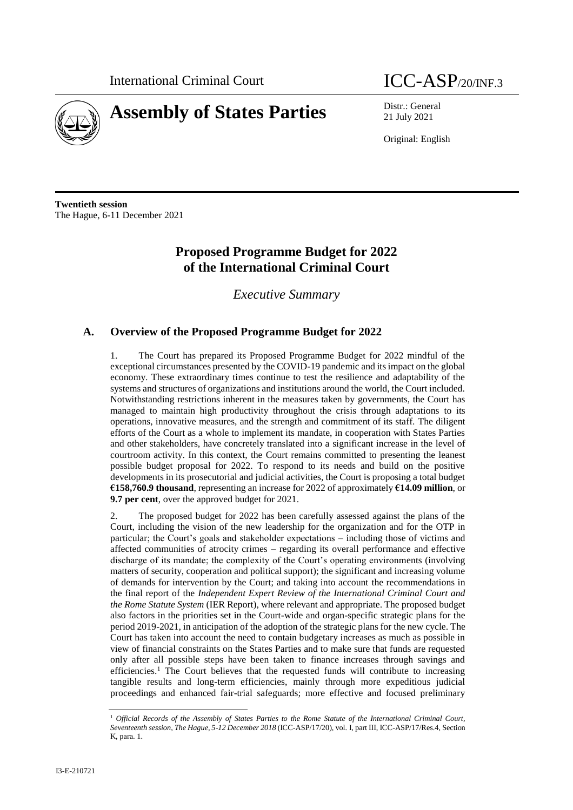

21 July 2021

Original: English

**Twentieth session** The Hague, 6-11 December 2021

# **Proposed Programme Budget for 2022 of the International Criminal Court**

*Executive Summary*

# **A. Overview of the Proposed Programme Budget for 2022**

1. The Court has prepared its Proposed Programme Budget for 2022 mindful of the exceptional circumstances presented by the COVID-19 pandemic and its impact on the global economy. These extraordinary times continue to test the resilience and adaptability of the systems and structures of organizations and institutions around the world, the Court included. Notwithstanding restrictions inherent in the measures taken by governments, the Court has managed to maintain high productivity throughout the crisis through adaptations to its operations, innovative measures, and the strength and commitment of its staff. The diligent efforts of the Court as a whole to implement its mandate, in cooperation with States Parties and other stakeholders, have concretely translated into a significant increase in the level of courtroom activity. In this context, the Court remains committed to presenting the leanest possible budget proposal for 2022. To respond to its needs and build on the positive developments in its prosecutorial and judicial activities, the Court is proposing a total budget **€158,760.9 thousand**, representing an increase for 2022 of approximately **€14.09 million**, or **9.7 per cent**, over the approved budget for 2021.

2. The proposed budget for 2022 has been carefully assessed against the plans of the Court, including the vision of the new leadership for the organization and for the OTP in particular; the Court's goals and stakeholder expectations – including those of victims and affected communities of atrocity crimes – regarding its overall performance and effective discharge of its mandate; the complexity of the Court's operating environments (involving matters of security, cooperation and political support); the significant and increasing volume of demands for intervention by the Court; and taking into account the recommendations in the final report of the *Independent Expert Review of the International Criminal Court and the Rome Statute System* (IER Report), where relevant and appropriate. The proposed budget also factors in the priorities set in the Court-wide and organ-specific strategic plans for the period 2019-2021, in anticipation of the adoption of the strategic plans for the new cycle. The Court has taken into account the need to contain budgetary increases as much as possible in view of financial constraints on the States Parties and to make sure that funds are requested only after all possible steps have been taken to finance increases through savings and efficiencies.<sup>1</sup> The Court believes that the requested funds will contribute to increasing tangible results and long-term efficiencies, mainly through more expeditious judicial proceedings and enhanced fair-trial safeguards; more effective and focused preliminary

<sup>1</sup> *Official Records of the Assembly of States Parties to the Rome Statute of the International Criminal Court, Seventeenth session, The Hague, 5-12 December 2018* (ICC-ASP/17/20), vol. I, part III, ICC-ASP/17/Res.4, Section K, para. 1.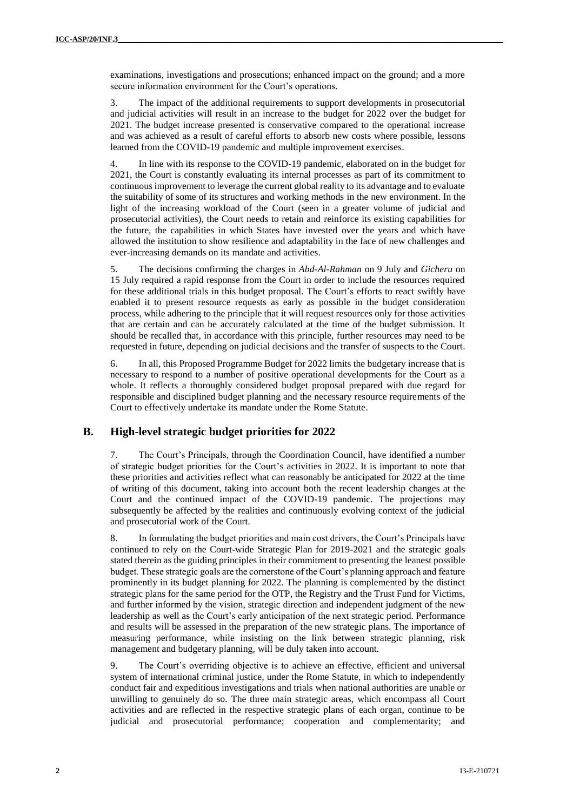examinations, investigations and prosecutions; enhanced impact on the ground; and a more secure information environment for the Court's operations.

3. The impact of the additional requirements to support developments in prosecutorial and judicial activities will result in an increase to the budget for 2022 over the budget for 2021. The budget increase presented is conservative compared to the operational increase and was achieved as a result of careful efforts to absorb new costs where possible, lessons learned from the COVID-19 pandemic and multiple improvement exercises.

4. In line with its response to the COVID-19 pandemic, elaborated on in the budget for 2021, the Court is constantly evaluating its internal processes as part of its commitment to continuous improvement to leverage the current global reality to its advantage and to evaluate the suitability of some of its structures and working methods in the new environment. In the light of the increasing workload of the Court (seen in a greater volume of judicial and prosecutorial activities), the Court needs to retain and reinforce its existing capabilities for the future, the capabilities in which States have invested over the years and which have allowed the institution to show resilience and adaptability in the face of new challenges and ever-increasing demands on its mandate and activities.

5. The decisions confirming the charges in *Abd-Al-Rahman* on 9 July and *Gicheru* on 15 July required a rapid response from the Court in order to include the resources required for these additional trials in this budget proposal. The Court's efforts to react swiftly have enabled it to present resource requests as early as possible in the budget consideration process, while adhering to the principle that it will request resources only for those activities that are certain and can be accurately calculated at the time of the budget submission. It should be recalled that, in accordance with this principle, further resources may need to be requested in future, depending on judicial decisions and the transfer of suspects to the Court.

6. In all, this Proposed Programme Budget for 2022 limits the budgetary increase that is necessary to respond to a number of positive operational developments for the Court as a whole. It reflects a thoroughly considered budget proposal prepared with due regard for responsible and disciplined budget planning and the necessary resource requirements of the Court to effectively undertake its mandate under the Rome Statute.

## **B. High-level strategic budget priorities for 2022**

7. The Court's Principals, through the Coordination Council, have identified a number of strategic budget priorities for the Court's activities in 2022. It is important to note that these priorities and activities reflect what can reasonably be anticipated for 2022 at the time of writing of this document, taking into account both the recent leadership changes at the Court and the continued impact of the COVID-19 pandemic. The projections may subsequently be affected by the realities and continuously evolving context of the judicial and prosecutorial work of the Court.

8. In formulating the budget priorities and main cost drivers, the Court's Principals have continued to rely on the Court-wide Strategic Plan for 2019-2021 and the strategic goals stated therein as the guiding principles in their commitment to presenting the leanest possible budget. These strategic goals are the cornerstone of the Court's planning approach and feature prominently in its budget planning for 2022. The planning is complemented by the distinct strategic plans for the same period for the OTP, the Registry and the Trust Fund for Victims, and further informed by the vision, strategic direction and independent judgment of the new leadership as well as the Court's early anticipation of the next strategic period. Performance and results will be assessed in the preparation of the new strategic plans. The importance of measuring performance, while insisting on the link between strategic planning, risk management and budgetary planning, will be duly taken into account.

9. The Court's overriding objective is to achieve an effective, efficient and universal system of international criminal justice, under the Rome Statute, in which to independently conduct fair and expeditious investigations and trials when national authorities are unable or unwilling to genuinely do so. The three main strategic areas, which encompass all Court activities and are reflected in the respective strategic plans of each organ, continue to be judicial and prosecutorial performance; cooperation and complementarity; and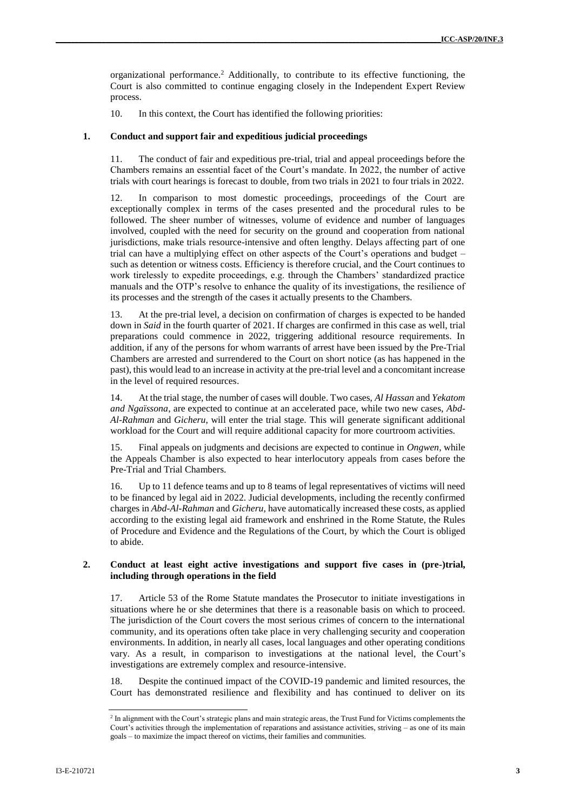organizational performance. <sup>2</sup> Additionally, to contribute to its effective functioning, the Court is also committed to continue engaging closely in the Independent Expert Review process.

10. In this context, the Court has identified the following priorities:

#### **1. Conduct and support fair and expeditious judicial proceedings**

11. The conduct of fair and expeditious pre-trial, trial and appeal proceedings before the Chambers remains an essential facet of the Court's mandate. In 2022, the number of active trials with court hearings is forecast to double, from two trials in 2021 to four trials in 2022.

12. In comparison to most domestic proceedings, proceedings of the Court are exceptionally complex in terms of the cases presented and the procedural rules to be followed. The sheer number of witnesses, volume of evidence and number of languages involved, coupled with the need for security on the ground and cooperation from national jurisdictions, make trials resource-intensive and often lengthy. Delays affecting part of one trial can have a multiplying effect on other aspects of the Court's operations and budget – such as detention or witness costs. Efficiency is therefore crucial, and the Court continues to work tirelessly to expedite proceedings, e.g. through the Chambers' standardized practice manuals and the OTP's resolve to enhance the quality of its investigations, the resilience of its processes and the strength of the cases it actually presents to the Chambers.

13. At the pre-trial level, a decision on confirmation of charges is expected to be handed down in *Said* in the fourth quarter of 2021. If charges are confirmed in this case as well, trial preparations could commence in 2022, triggering additional resource requirements. In addition, if any of the persons for whom warrants of arrest have been issued by the Pre-Trial Chambers are arrested and surrendered to the Court on short notice (as has happened in the past), this would lead to an increase in activity at the pre-trial level and a concomitant increase in the level of required resources.

14. At the trial stage, the number of cases will double. Two cases, *Al Hassan* and *Yekatom and Ngaïssona*, are expected to continue at an accelerated pace, while two new cases, *Abd-Al-Rahman* and *Gicheru*, will enter the trial stage. This will generate significant additional workload for the Court and will require additional capacity for more courtroom activities.

15. Final appeals on judgments and decisions are expected to continue in *Ongwen*, while the Appeals Chamber is also expected to hear interlocutory appeals from cases before the Pre-Trial and Trial Chambers.

16. Up to 11 defence teams and up to 8 teams of legal representatives of victims will need to be financed by legal aid in 2022. Judicial developments, including the recently confirmed charges in *Abd-Al-Rahman* and *Gicheru*, have automatically increased these costs, as applied according to the existing legal aid framework and enshrined in the Rome Statute, the Rules of Procedure and Evidence and the Regulations of the Court, by which the Court is obliged to abide.

#### **2. Conduct at least eight active investigations and support five cases in (pre-)trial, including through operations in the field**

17. Article 53 of the Rome Statute mandates the Prosecutor to initiate investigations in situations where he or she determines that there is a reasonable basis on which to proceed. The jurisdiction of the Court covers the most serious crimes of concern to the international community, and its operations often take place in very challenging security and cooperation environments. In addition, in nearly all cases, local languages and other operating conditions vary. As a result, in comparison to investigations at the national level, the Court's investigations are extremely complex and resource-intensive.

18. Despite the continued impact of the COVID-19 pandemic and limited resources, the Court has demonstrated resilience and flexibility and has continued to deliver on its

<sup>&</sup>lt;sup>2</sup> In alignment with the Court's strategic plans and main strategic areas, the Trust Fund for Victims complements the Court's activities through the implementation of reparations and assistance activities, striving – as one of its main goals – to maximize the impact thereof on victims, their families and communities.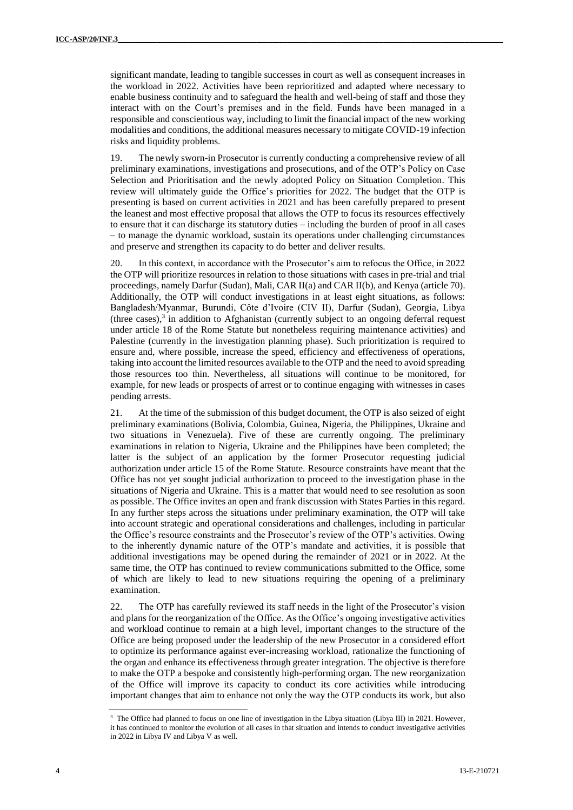significant mandate, leading to tangible successes in court as well as consequent increases in the workload in 2022. Activities have been reprioritized and adapted where necessary to enable business continuity and to safeguard the health and well-being of staff and those they interact with on the Court's premises and in the field. Funds have been managed in a responsible and conscientious way, including to limit the financial impact of the new working modalities and conditions, the additional measures necessary to mitigate COVID-19 infection risks and liquidity problems.

19. The newly sworn-in Prosecutor is currently conducting a comprehensive review of all preliminary examinations, investigations and prosecutions, and of the OTP's Policy on Case Selection and Prioritisation and the newly adopted Policy on Situation Completion. This review will ultimately guide the Office's priorities for 2022. The budget that the OTP is presenting is based on current activities in 2021 and has been carefully prepared to present the leanest and most effective proposal that allows the OTP to focus its resources effectively to ensure that it can discharge its statutory duties – including the burden of proof in all cases – to manage the dynamic workload, sustain its operations under challenging circumstances and preserve and strengthen its capacity to do better and deliver results.

20. In this context, in accordance with the Prosecutor's aim to refocus the Office, in 2022 the OTP will prioritize resources in relation to those situations with cases in pre-trial and trial proceedings, namely Darfur (Sudan), Mali, CAR II(a) and CAR II(b), and Kenya (article 70). Additionally, the OTP will conduct investigations in at least eight situations, as follows: Bangladesh/Myanmar, Burundi, Côte d'Ivoire (CIV II), Darfur (Sudan), Georgia, Libya (three cases), $3$  in addition to Afghanistan (currently subject to an ongoing deferral request under article 18 of the Rome Statute but nonetheless requiring maintenance activities) and Palestine (currently in the investigation planning phase). Such prioritization is required to ensure and, where possible, increase the speed, efficiency and effectiveness of operations, taking into account the limited resources available to the OTP and the need to avoid spreading those resources too thin. Nevertheless, all situations will continue to be monitored, for example, for new leads or prospects of arrest or to continue engaging with witnesses in cases pending arrests.

21. At the time of the submission of this budget document, the OTP is also seized of eight preliminary examinations (Bolivia, Colombia, Guinea, Nigeria, the Philippines, Ukraine and two situations in Venezuela). Five of these are currently ongoing. The preliminary examinations in relation to Nigeria, Ukraine and the Philippines have been completed; the latter is the subject of an application by the former Prosecutor requesting judicial authorization under article 15 of the Rome Statute. Resource constraints have meant that the Office has not yet sought judicial authorization to proceed to the investigation phase in the situations of Nigeria and Ukraine. This is a matter that would need to see resolution as soon as possible. The Office invites an open and frank discussion with States Parties in this regard. In any further steps across the situations under preliminary examination, the OTP will take into account strategic and operational considerations and challenges, including in particular the Office's resource constraints and the Prosecutor's review of the OTP's activities. Owing to the inherently dynamic nature of the OTP's mandate and activities, it is possible that additional investigations may be opened during the remainder of 2021 or in 2022. At the same time, the OTP has continued to review communications submitted to the Office, some of which are likely to lead to new situations requiring the opening of a preliminary examination.

22. The OTP has carefully reviewed its staff needs in the light of the Prosecutor's vision and plans for the reorganization of the Office. As the Office's ongoing investigative activities and workload continue to remain at a high level, important changes to the structure of the Office are being proposed under the leadership of the new Prosecutor in a considered effort to optimize its performance against ever-increasing workload, rationalize the functioning of the organ and enhance its effectiveness through greater integration. The objective is therefore to make the OTP a bespoke and consistently high-performing organ. The new reorganization of the Office will improve its capacity to conduct its core activities while introducing important changes that aim to enhance not only the way the OTP conducts its work, but also

<sup>&</sup>lt;sup>3</sup> The Office had planned to focus on one line of investigation in the Libya situation (Libya III) in 2021. However, it has continued to monitor the evolution of all cases in that situation and intends to conduct investigative activities in 2022 in Libya IV and Libya V as well.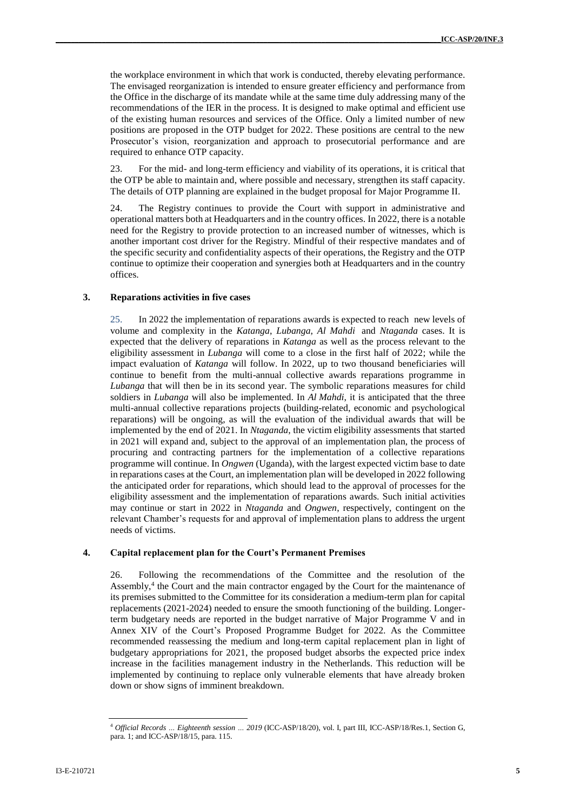the workplace environment in which that work is conducted, thereby elevating performance. The envisaged reorganization is intended to ensure greater efficiency and performance from the Office in the discharge of its mandate while at the same time duly addressing many of the recommendations of the IER in the process. It is designed to make optimal and efficient use of the existing human resources and services of the Office. Only a limited number of new positions are proposed in the OTP budget for 2022. These positions are central to the new Prosecutor's vision, reorganization and approach to prosecutorial performance and are required to enhance OTP capacity.

23. For the mid- and long-term efficiency and viability of its operations, it is critical that the OTP be able to maintain and, where possible and necessary, strengthen its staff capacity. The details of OTP planning are explained in the budget proposal for Major Programme II.

The Registry continues to provide the Court with support in administrative and operational matters both at Headquarters and in the country offices. In 2022, there is a notable need for the Registry to provide protection to an increased number of witnesses, which is another important cost driver for the Registry. Mindful of their respective mandates and of the specific security and confidentiality aspects of their operations, the Registry and the OTP continue to optimize their cooperation and synergies both at Headquarters and in the country offices.

#### **3. Reparations activities in five cases**

25. In 2022 the implementation of reparations awards is expected to reach new levels of volume and complexity in the *Katanga*, *Lubanga*, *Al Mahdi* and *Ntaganda* cases. It is expected that the delivery of reparations in *Katanga* as well as the process relevant to the eligibility assessment in *Lubanga* will come to a close in the first half of 2022; while the impact evaluation of *Katanga* will follow. In 2022, up to two thousand beneficiaries will continue to benefit from the multi-annual collective awards reparations programme in *Lubanga* that will then be in its second year. The symbolic reparations measures for child soldiers in *Lubanga* will also be implemented. In *Al Mahdi*, it is anticipated that the three multi-annual collective reparations projects (building-related, economic and psychological reparations) will be ongoing, as will the evaluation of the individual awards that will be implemented by the end of 2021. In *Ntaganda*, the victim eligibility assessments that started in 2021 will expand and, subject to the approval of an implementation plan, the process of procuring and contracting partners for the implementation of a collective reparations programme will continue. In *Ongwen* (Uganda), with the largest expected victim base to date in reparations cases at the Court, an implementation plan will be developed in 2022 following the anticipated order for reparations, which should lead to the approval of processes for the eligibility assessment and the implementation of reparations awards. Such initial activities may continue or start in 2022 in *Ntaganda* and *Ongwen*, respectively, contingent on the relevant Chamber's requests for and approval of implementation plans to address the urgent needs of victims.

#### **4. Capital replacement plan for the Court's Permanent Premises**

26. Following the recommendations of the Committee and the resolution of the Assembly,<sup>4</sup> the Court and the main contractor engaged by the Court for the maintenance of its premises submitted to the Committee for its consideration a medium-term plan for capital replacements (2021-2024) needed to ensure the smooth functioning of the building. Longerterm budgetary needs are reported in the budget narrative of Major Programme V and in Annex XIV of the Court's Proposed Programme Budget for 2022. As the Committee recommended reassessing the medium and long-term capital replacement plan in light of budgetary appropriations for 2021, the proposed budget absorbs the expected price index increase in the facilities management industry in the Netherlands. This reduction will be implemented by continuing to replace only vulnerable elements that have already broken down or show signs of imminent breakdown.

<sup>4</sup> *Official Records … Eighteenth session … 2019* (ICC-ASP/18/20), vol. I, part III*,* ICC-ASP/18/Res.1, Section G, para. 1; and ICC-ASP/18/15*,* para. 115.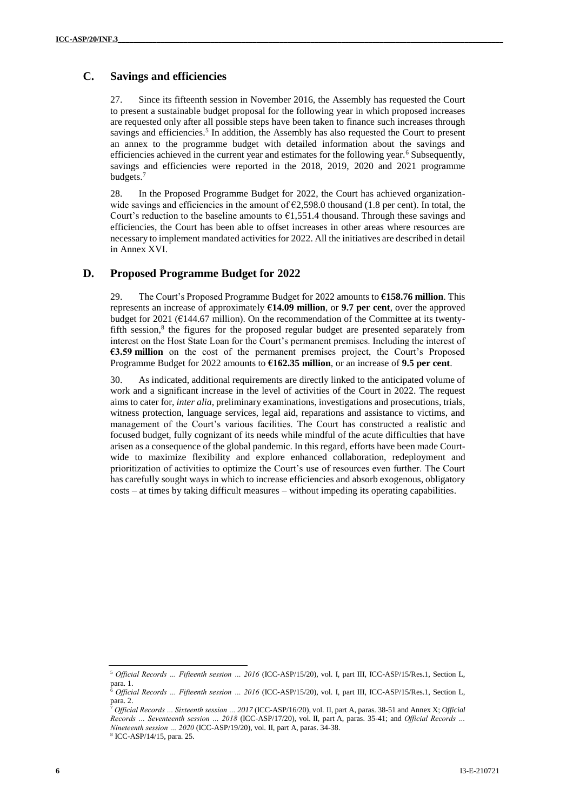# **C. Savings and efficiencies**

27. Since its fifteenth session in November 2016, the Assembly has requested the Court to present a sustainable budget proposal for the following year in which proposed increases are requested only after all possible steps have been taken to finance such increases through savings and efficiencies.<sup>5</sup> In addition, the Assembly has also requested the Court to present an annex to the programme budget with detailed information about the savings and efficiencies achieved in the current year and estimates for the following year.<sup>6</sup> Subsequently, savings and efficiencies were reported in the 2018, 2019, 2020 and 2021 programme budgets.<sup>7</sup>

28. In the Proposed Programme Budget for 2022, the Court has achieved organizationwide savings and efficiencies in the amount of  $\epsilon$ 2,598.0 thousand (1.8 per cent). In total, the Court's reduction to the baseline amounts to  $\epsilon$ 1,551.4 thousand. Through these savings and efficiencies, the Court has been able to offset increases in other areas where resources are necessary to implement mandated activities for 2022. All the initiatives are described in detail in Annex XVI.

# **D. Proposed Programme Budget for 2022**

29. The Court's Proposed Programme Budget for 2022 amounts to **€158.76 million**. This represents an increase of approximately **€14.09 million**, or **9.7 per cent**, over the approved budget for 2021 ( $E$ 144.67 million). On the recommendation of the Committee at its twentyfifth session, 8 the figures for the proposed regular budget are presented separately from interest on the Host State Loan for the Court's permanent premises. Including the interest of **€3.59 million** on the cost of the permanent premises project, the Court's Proposed Programme Budget for 2022 amounts to **€162.35 million**, or an increase of **9.5 per cent**.

30. As indicated, additional requirements are directly linked to the anticipated volume of work and a significant increase in the level of activities of the Court in 2022. The request aims to cater for, *inter alia*, preliminary examinations, investigations and prosecutions, trials, witness protection, language services, legal aid, reparations and assistance to victims, and management of the Court's various facilities. The Court has constructed a realistic and focused budget, fully cognizant of its needs while mindful of the acute difficulties that have arisen as a consequence of the global pandemic. In this regard, efforts have been made Courtwide to maximize flexibility and explore enhanced collaboration, redeployment and prioritization of activities to optimize the Court's use of resources even further. The Court has carefully sought ways in which to increase efficiencies and absorb exogenous, obligatory costs – at times by taking difficult measures – without impeding its operating capabilities.

<sup>5</sup> *Official Records … Fifteenth session … 2016* (ICC-ASP/15/20), vol. I, part III, ICC-ASP/15/Res.1, Section L,  $\begin{bmatrix} 2 & 1 \\ 6 & 2 \end{bmatrix}$ 

<sup>6</sup> *Official Records … Fifteenth session … 2016* (ICC-ASP/15/20), vol. I, part III, ICC-ASP/15/Res.1, Section L, para. 2.

<sup>7</sup> *Official Records … Sixteenth session … 2017* (ICC-ASP/16/20), vol. II, part A, paras. 38-51 and Annex X; *Official Records … Seventeenth session … 2018* (ICC-ASP/17/20), vol. II, part A, paras. 35-41; and *Official Records … Nineteenth session … 2020* (ICC-ASP/19/20), vol. II, part A, paras. 34-38.

<sup>8</sup> ICC-ASP/14/15, para. 25.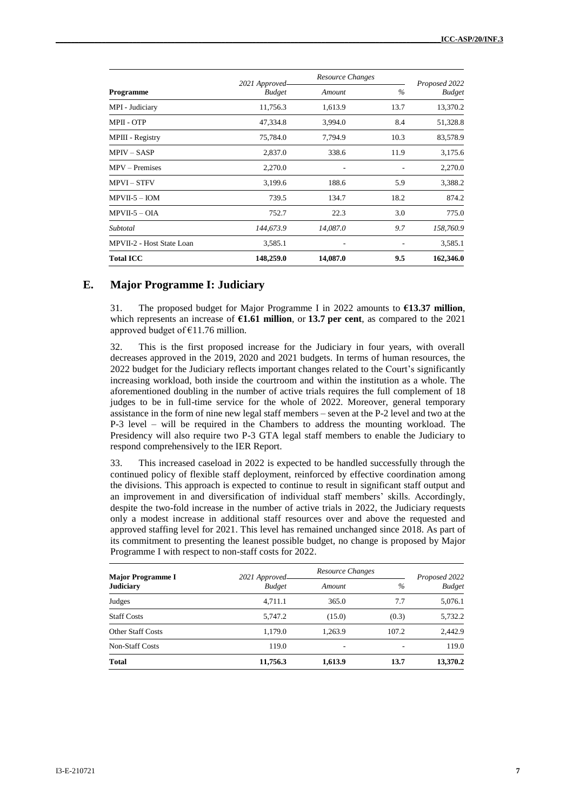|                           | 2021 Approved | Resource Changes |      | Proposed 2022 |
|---------------------------|---------------|------------------|------|---------------|
| <b>Programme</b>          | <b>Budget</b> | Amount           | $\%$ | <b>Budget</b> |
| MPI - Judiciary           | 11,756.3      | 1,613.9          | 13.7 | 13,370.2      |
| <b>MPII - OTP</b>         | 47,334.8      | 3,994.0          | 8.4  | 51,328.8      |
| MPIII - Registry          | 75,784.0      | 7,794.9          | 10.3 | 83,578.9      |
| $MPIV - SASP$             | 2,837.0       | 338.6            | 11.9 | 3,175.6       |
| $MPV - Premises$          | 2,270.0       |                  |      | 2,270.0       |
| <b>MPVI-STFV</b>          | 3,199.6       | 188.6            | 5.9  | 3,388.2       |
| $MPVII-5 - IOM$           | 739.5         | 134.7            | 18.2 | 874.2         |
| $MPVII-5-OIA$             | 752.7         | 22.3             | 3.0  | 775.0         |
| Subtotal                  | 144,673.9     | 14,087.0         | 9.7  | 158,760.9     |
| MPVII-2 - Host State Loan | 3,585.1       |                  |      | 3,585.1       |
| <b>Total ICC</b>          | 148,259.0     | 14,087.0         | 9.5  | 162,346.0     |

## **E. Major Programme I: Judiciary**

31. The proposed budget for Major Programme I in 2022 amounts to **€13.37 million**, which represents an increase of **€1.61 million**, or **13.7 per cent**, as compared to the 2021 approved budget of €11.76 million.

32. This is the first proposed increase for the Judiciary in four years, with overall decreases approved in the 2019, 2020 and 2021 budgets. In terms of human resources, the 2022 budget for the Judiciary reflects important changes related to the Court's significantly increasing workload, both inside the courtroom and within the institution as a whole. The aforementioned doubling in the number of active trials requires the full complement of 18 judges to be in full-time service for the whole of 2022. Moreover, general temporary assistance in the form of nine new legal staff members – seven at the P-2 level and two at the P-3 level – will be required in the Chambers to address the mounting workload. The Presidency will also require two P-3 GTA legal staff members to enable the Judiciary to respond comprehensively to the IER Report.

33. This increased caseload in 2022 is expected to be handled successfully through the continued policy of flexible staff deployment, reinforced by effective coordination among the divisions. This approach is expected to continue to result in significant staff output and an improvement in and diversification of individual staff members' skills. Accordingly, despite the two-fold increase in the number of active trials in 2022, the Judiciary requests only a modest increase in additional staff resources over and above the requested and approved staffing level for 2021. This level has remained unchanged since 2018. As part of its commitment to presenting the leanest possible budget, no change is proposed by Major Programme I with respect to non-staff costs for 2022.

| <b>Major Programme I</b><br><b>Judiciary</b> | 2021 Approved- | Resource Changes |       | Proposed 2022 |
|----------------------------------------------|----------------|------------------|-------|---------------|
|                                              | <b>Budget</b>  | Amount           | $\%$  | <b>Budget</b> |
| Judges                                       | 4.711.1        | 365.0            | 7.7   | 5,076.1       |
| <b>Staff Costs</b>                           | 5.747.2        | (15.0)           | (0.3) | 5,732.2       |
| <b>Other Staff Costs</b>                     | 1,179.0        | 1,263.9          | 107.2 | 2.442.9       |
| <b>Non-Staff Costs</b>                       | 119.0          | ۰                |       | 119.0         |
| <b>Total</b>                                 | 11,756.3       | 1,613.9          | 13.7  | 13,370.2      |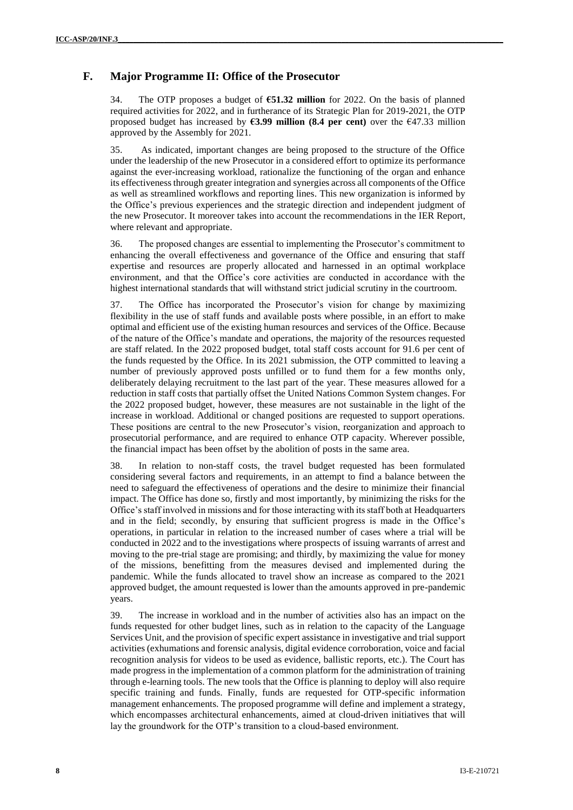## **F. Major Programme II: Office of the Prosecutor**

34. The OTP proposes a budget of **€51.32 million** for 2022. On the basis of planned required activities for 2022, and in furtherance of its Strategic Plan for 2019-2021, the OTP proposed budget has increased by **€3.99 million (8.4 per cent)** over the €47.33 million approved by the Assembly for 2021.

35. As indicated, important changes are being proposed to the structure of the Office under the leadership of the new Prosecutor in a considered effort to optimize its performance against the ever-increasing workload, rationalize the functioning of the organ and enhance its effectiveness through greater integration and synergies across all components of the Office as well as streamlined workflows and reporting lines. This new organization is informed by the Office's previous experiences and the strategic direction and independent judgment of the new Prosecutor. It moreover takes into account the recommendations in the IER Report, where relevant and appropriate.

36. The proposed changes are essential to implementing the Prosecutor's commitment to enhancing the overall effectiveness and governance of the Office and ensuring that staff expertise and resources are properly allocated and harnessed in an optimal workplace environment, and that the Office's core activities are conducted in accordance with the highest international standards that will withstand strict judicial scrutiny in the courtroom.

37. The Office has incorporated the Prosecutor's vision for change by maximizing flexibility in the use of staff funds and available posts where possible, in an effort to make optimal and efficient use of the existing human resources and services of the Office. Because of the nature of the Office's mandate and operations, the majority of the resources requested are staff related. In the 2022 proposed budget, total staff costs account for 91.6 per cent of the funds requested by the Office. In its 2021 submission, the OTP committed to leaving a number of previously approved posts unfilled or to fund them for a few months only, deliberately delaying recruitment to the last part of the year. These measures allowed for a reduction in staff costs that partially offset the United Nations Common System changes. For the 2022 proposed budget, however, these measures are not sustainable in the light of the increase in workload. Additional or changed positions are requested to support operations. These positions are central to the new Prosecutor's vision, reorganization and approach to prosecutorial performance, and are required to enhance OTP capacity. Wherever possible, the financial impact has been offset by the abolition of posts in the same area.

38. In relation to non-staff costs, the travel budget requested has been formulated considering several factors and requirements, in an attempt to find a balance between the need to safeguard the effectiveness of operations and the desire to minimize their financial impact. The Office has done so, firstly and most importantly, by minimizing the risks for the Office's staff involved in missions and for those interacting with its staff both at Headquarters and in the field; secondly, by ensuring that sufficient progress is made in the Office's operations, in particular in relation to the increased number of cases where a trial will be conducted in 2022 and to the investigations where prospects of issuing warrants of arrest and moving to the pre-trial stage are promising; and thirdly, by maximizing the value for money of the missions, benefitting from the measures devised and implemented during the pandemic. While the funds allocated to travel show an increase as compared to the 2021 approved budget, the amount requested is lower than the amounts approved in pre-pandemic years.

39. The increase in workload and in the number of activities also has an impact on the funds requested for other budget lines, such as in relation to the capacity of the Language Services Unit, and the provision of specific expert assistance in investigative and trial support activities (exhumations and forensic analysis, digital evidence corroboration, voice and facial recognition analysis for videos to be used as evidence, ballistic reports, etc.). The Court has made progress in the implementation of a common platform for the administration of training through e-learning tools. The new tools that the Office is planning to deploy will also require specific training and funds. Finally, funds are requested for OTP-specific information management enhancements. The proposed programme will define and implement a strategy, which encompasses architectural enhancements, aimed at cloud-driven initiatives that will lay the groundwork for the OTP's transition to a cloud-based environment.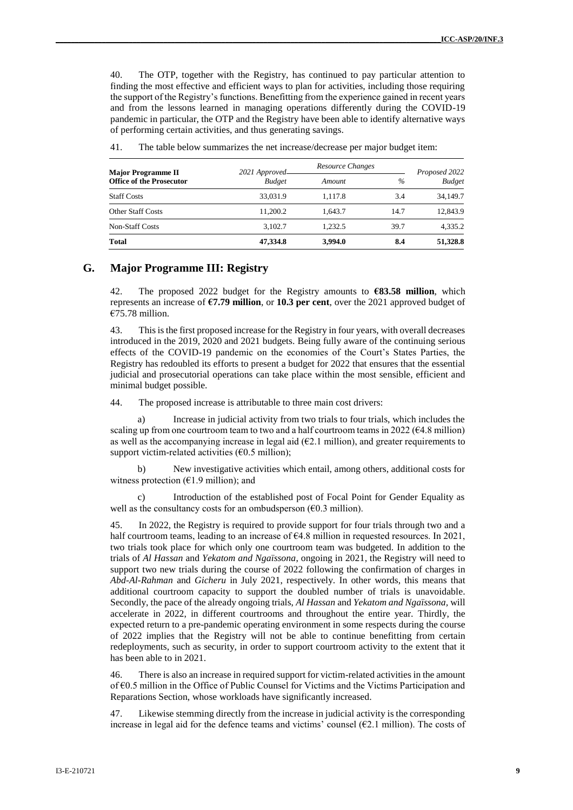40. The OTP, together with the Registry, has continued to pay particular attention to finding the most effective and efficient ways to plan for activities, including those requiring the support of the Registry's functions. Benefitting from the experience gained in recent years and from the lessons learned in managing operations differently during the COVID-19 pandemic in particular, the OTP and the Registry have been able to identify alternative ways of performing certain activities, and thus generating savings.

| <b>Major Programme II</b><br><b>Office of the Prosecutor</b> | 2021 Approved- | Resource Changes |      | Proposed 2022 |
|--------------------------------------------------------------|----------------|------------------|------|---------------|
|                                                              | <b>Budget</b>  | Amount           | $\%$ | <b>Budget</b> |
| <b>Staff Costs</b>                                           | 33.031.9       | 1.117.8          | 3.4  | 34,149.7      |
| <b>Other Staff Costs</b>                                     | 11.200.2       | 1.643.7          | 14.7 | 12,843.9      |
| <b>Non-Staff Costs</b>                                       | 3.102.7        | 1.232.5          | 39.7 | 4.335.2       |
| <b>Total</b>                                                 | 47.334.8       | 3.994.0          | 8.4  | 51,328.8      |

41. The table below summarizes the net increase/decrease per major budget item:

#### **G. Major Programme III: Registry**

42. The proposed 2022 budget for the Registry amounts to **€83.58 million**, which represents an increase of **€7.79 million**, or **10.3 per cent**, over the 2021 approved budget of  $€75.78$  million.

43. Thisis the first proposed increase for the Registry in four years, with overall decreases introduced in the 2019, 2020 and 2021 budgets. Being fully aware of the continuing serious effects of the COVID-19 pandemic on the economies of the Court's States Parties, the Registry has redoubled its efforts to present a budget for 2022 that ensures that the essential judicial and prosecutorial operations can take place within the most sensible, efficient and minimal budget possible.

44. The proposed increase is attributable to three main cost drivers:

a) Increase in judicial activity from two trials to four trials, which includes the scaling up from one courtroom team to two and a half courtroom teams in 2022 ( $64.8$  million) as well as the accompanying increase in legal aid  $(E2.1 \text{ million})$ , and greater requirements to support victim-related activities  $(60.5 \text{ million})$ ;

b) New investigative activities which entail, among others, additional costs for witness protection ( $E1.9$  million); and

c) Introduction of the established post of Focal Point for Gender Equality as well as the consultancy costs for an ombudsperson ( $\epsilon$ 0.3 million).

45. In 2022, the Registry is required to provide support for four trials through two and a half courtroom teams, leading to an increase of  $64.8$  million in requested resources. In 2021, two trials took place for which only one courtroom team was budgeted. In addition to the trials of *Al Hassan* and *Yekatom and Ngaïssona*, ongoing in 2021*,* the Registry will need to support two new trials during the course of 2022 following the confirmation of charges in *Abd-Al-Rahman* and *Gicheru* in July 2021, respectively. In other words, this means that additional courtroom capacity to support the doubled number of trials is unavoidable. Secondly, the pace of the already ongoing trials, *Al Hassan* and *Yekatom and Ngaïssona,* will accelerate in 2022, in different courtrooms and throughout the entire year. Thirdly, the expected return to a pre-pandemic operating environment in some respects during the course of 2022 implies that the Registry will not be able to continue benefitting from certain redeployments, such as security, in order to support courtroom activity to the extent that it has been able to in 2021.

46. There is also an increase in required support for victim-related activities in the amount of €0.5 million in the Office of Public Counsel for Victims and the Victims Participation and Reparations Section, whose workloads have significantly increased.

47. Likewise stemming directly from the increase in judicial activity is the corresponding increase in legal aid for the defence teams and victims' counsel (€2.1 million). The costs of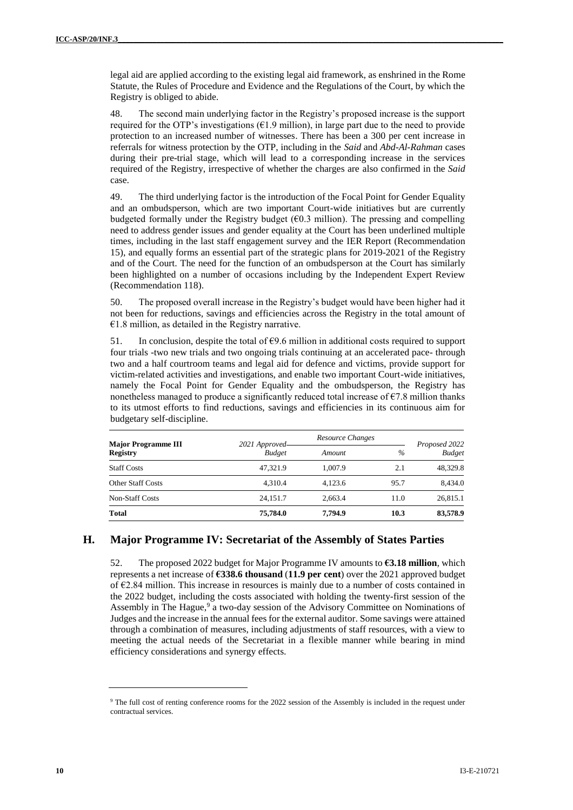legal aid are applied according to the existing legal aid framework, as enshrined in the Rome Statute, the Rules of Procedure and Evidence and the Regulations of the Court, by which the Registry is obliged to abide.

48. The second main underlying factor in the Registry's proposed increase is the support required for the OTP's investigations  $(61.9 \text{ million})$ , in large part due to the need to provide protection to an increased number of witnesses. There has been a 300 per cent increase in referrals for witness protection by the OTP, including in the *Said* and *Abd-Al-Rahman* cases during their pre-trial stage, which will lead to a corresponding increase in the services required of the Registry, irrespective of whether the charges are also confirmed in the *Said* case.

49. The third underlying factor is the introduction of the Focal Point for Gender Equality and an ombudsperson, which are two important Court-wide initiatives but are currently budgeted formally under the Registry budget (€0.3 million). The pressing and compelling need to address gender issues and gender equality at the Court has been underlined multiple times, including in the last staff engagement survey and the IER Report (Recommendation 15), and equally forms an essential part of the strategic plans for 2019-2021 of the Registry and of the Court. The need for the function of an ombudsperson at the Court has similarly been highlighted on a number of occasions including by the Independent Expert Review (Recommendation 118).

50. The proposed overall increase in the Registry's budget would have been higher had it not been for reductions, savings and efficiencies across the Registry in the total amount of  $€1.8$  million, as detailed in the Registry narrative.

51. In conclusion, despite the total of  $69.6$  million in additional costs required to support four trials -two new trials and two ongoing trials continuing at an accelerated pace- through two and a half courtroom teams and legal aid for defence and victims, provide support for victim-related activities and investigations, and enable two important Court-wide initiatives, namely the Focal Point for Gender Equality and the ombudsperson, the Registry has nonetheless managed to produce a significantly reduced total increase of  $\epsilon$ 7.8 million thanks to its utmost efforts to find reductions, savings and efficiencies in its continuous aim for budgetary self-discipline.

| <b>Major Programme III</b><br><b>Registry</b> | 2021 Approved-<br><b>Budget</b> | Resource Changes |      | Proposed 2022<br><b>Budget</b> |
|-----------------------------------------------|---------------------------------|------------------|------|--------------------------------|
|                                               |                                 | Amount           | $\%$ |                                |
| <b>Staff Costs</b>                            | 47.321.9                        | 1.007.9          | 2.1  | 48.329.8                       |
| <b>Other Staff Costs</b>                      | 4.310.4                         | 4.123.6          | 95.7 | 8.434.0                        |
| <b>Non-Staff Costs</b>                        | 24.151.7                        | 2.663.4          | 11.0 | 26,815.1                       |
| <b>Total</b>                                  | 75,784.0                        | 7.794.9          | 10.3 | 83,578.9                       |

## **H. Major Programme IV: Secretariat of the Assembly of States Parties**

52. The proposed 2022 budget for Major Programme IV amounts to **€3.18 million**, which represents a net increase of **€338.6 thousand** (**11.9 per cent**) over the 2021 approved budget of  $\epsilon$ 2.84 million. This increase in resources is mainly due to a number of costs contained in the 2022 budget, including the costs associated with holding the twenty-first session of the Assembly in The Hague, 9 a two-day session of the Advisory Committee on Nominations of Judges and the increase in the annual fees for the external auditor. Some savings were attained through a combination of measures, including adjustments of staff resources, with a view to meeting the actual needs of the Secretariat in a flexible manner while bearing in mind efficiency considerations and synergy effects.

<sup>&</sup>lt;sup>9</sup> The full cost of renting conference rooms for the 2022 session of the Assembly is included in the request under contractual services.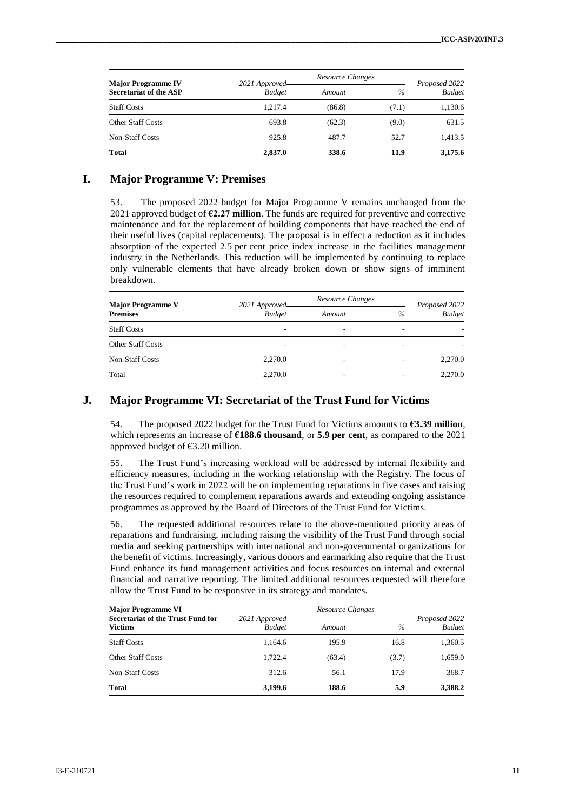| <b>Major Programme IV</b><br><b>Secretariat of the ASP</b> | 2021 Approved- |        | Resource Changes |                                |
|------------------------------------------------------------|----------------|--------|------------------|--------------------------------|
|                                                            | <b>Budget</b>  | Amount | $\%$             | Proposed 2022<br><b>Budget</b> |
| <b>Staff Costs</b>                                         | 1.217.4        | (86.8) | (7.1)            | 1,130.6                        |
| <b>Other Staff Costs</b>                                   | 693.8          | (62.3) | (9.0)            | 631.5                          |
| <b>Non-Staff Costs</b>                                     | 925.8          | 487.7  | 52.7             | 1,413.5                        |
| <b>Total</b>                                               | 2,837.0        | 338.6  | 11.9             | 3,175.6                        |

#### **I. Major Programme V: Premises**

53. The proposed 2022 budget for Major Programme V remains unchanged from the 2021 approved budget of **€2.27 million**. The funds are required for preventive and corrective maintenance and for the replacement of building components that have reached the end of their useful lives (capital replacements). The proposal is in effect a reduction as it includes absorption of the expected 2.5 per cent price index increase in the facilities management industry in the Netherlands. This reduction will be implemented by continuing to replace only vulnerable elements that have already broken down or show signs of imminent breakdown.

| <b>Major Programme V</b><br><b>Premises</b> | 2021 Approved- | Resource Changes |      | Proposed 2022 |
|---------------------------------------------|----------------|------------------|------|---------------|
|                                             | <b>Budget</b>  | Amount           | $\%$ | <b>Budget</b> |
| <b>Staff Costs</b>                          |                | -                |      |               |
| <b>Other Staff Costs</b>                    | ۰              | -                |      |               |
| <b>Non-Staff Costs</b>                      | 2.270.0        | ۰                |      | 2,270.0       |
| Total                                       | 2.270.0        | -                |      | 2.270.0       |

#### **J. Major Programme VI: Secretariat of the Trust Fund for Victims**

54. The proposed 2022 budget for the Trust Fund for Victims amounts to **€3.39 million**, which represents an increase of **€188.6 thousand**, or **5.9 per cent**, as compared to the 2021 approved budget of €3.20 million.

55. The Trust Fund's increasing workload will be addressed by internal flexibility and efficiency measures, including in the working relationship with the Registry. The focus of the Trust Fund's work in 2022 will be on implementing reparations in five cases and raising the resources required to complement reparations awards and extending ongoing assistance programmes as approved by the Board of Directors of the Trust Fund for Victims.

56. The requested additional resources relate to the above-mentioned priority areas of reparations and fundraising, including raising the visibility of the Trust Fund through social media and seeking partnerships with international and non-governmental organizations for the benefit of victims. Increasingly, various donors and earmarking also require that the Trust Fund enhance its fund management activities and focus resources on internal and external financial and narrative reporting. The limited additional resources requested will therefore allow the Trust Fund to be responsive in its strategy and mandates.

| <b>Major Programme VI</b>                                  |                                | Resource Changes |       |                                |
|------------------------------------------------------------|--------------------------------|------------------|-------|--------------------------------|
| <b>Secretariat of the Trust Fund for</b><br><b>Victims</b> | 2021 Approved<br><b>Budget</b> | Amount           | $\%$  | Proposed 2022<br><b>Budget</b> |
| <b>Staff Costs</b>                                         | 1.164.6                        | 195.9            | 16.8  | 1,360.5                        |
| <b>Other Staff Costs</b>                                   | 1.722.4                        | (63.4)           | (3.7) | 1,659.0                        |
| <b>Non-Staff Costs</b>                                     | 312.6                          | 56.1             | 17.9  | 368.7                          |
| <b>Total</b>                                               | 3,199.6                        | 188.6            | 5.9   | 3,388.2                        |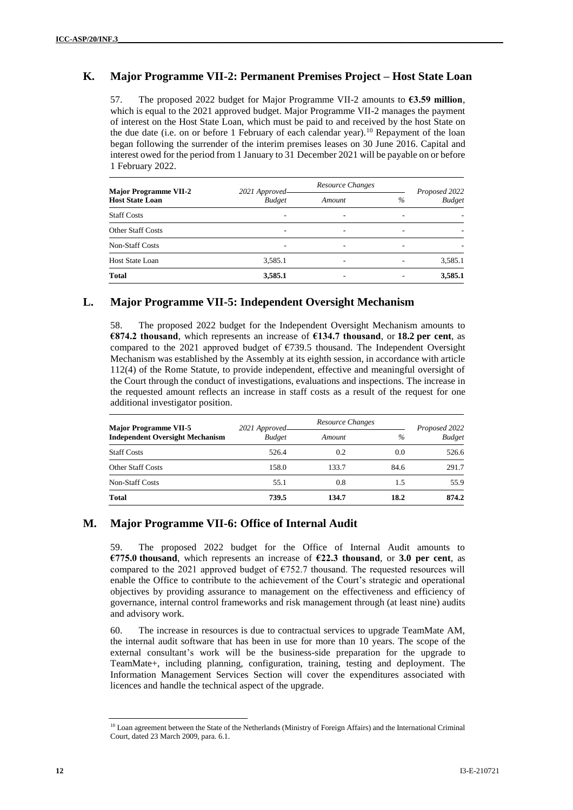# **K. Major Programme VII-2: Permanent Premises Project – Host State Loan**

57. The proposed 2022 budget for Major Programme VII-2 amounts to **€3.59 million**, which is equal to the 2021 approved budget. Major Programme VII-2 manages the payment of interest on the Host State Loan, which must be paid to and received by the host State on the due date (i.e. on or before 1 February of each calendar year).<sup>10</sup> Repayment of the loan began following the surrender of the interim premises leases on 30 June 2016. Capital and interest owed for the period from 1 January to 31 December 2021 will be payable on or before 1 February 2022.

| <b>Major Programme VII-2</b><br><b>Host State Loan</b> | 2021 Approved- | Resource Changes |      | Proposed 2022 |
|--------------------------------------------------------|----------------|------------------|------|---------------|
|                                                        | <b>Budget</b>  | Amount           | $\%$ | <b>Budget</b> |
| <b>Staff Costs</b>                                     |                | ۰                |      |               |
| <b>Other Staff Costs</b>                               |                |                  |      |               |
| <b>Non-Staff Costs</b>                                 |                | ۰                |      |               |
| <b>Host State Loan</b>                                 | 3,585.1        | -                |      | 3,585.1       |
| <b>Total</b>                                           | 3,585.1        |                  |      | 3,585.1       |

# **L. Major Programme VII-5: Independent Oversight Mechanism**

58. The proposed 2022 budget for the Independent Oversight Mechanism amounts to **€874.2 thousand**, which represents an increase of **€134.7 thousand**, or **18.2 per cent**, as compared to the 2021 approved budget of  $\epsilon$ 739.5 thousand. The Independent Oversight Mechanism was established by the Assembly at its eighth session, in accordance with article 112(4) of the Rome Statute, to provide independent, effective and meaningful oversight of the Court through the conduct of investigations, evaluations and inspections. The increase in the requested amount reflects an increase in staff costs as a result of the request for one additional investigator position.

| <b>Major Programme VII-5</b>           | 2021 Approved<br><b>Budget</b> | Resource Changes |      | Proposed 2022 |  |
|----------------------------------------|--------------------------------|------------------|------|---------------|--|
| <b>Independent Oversight Mechanism</b> |                                | Amount           | $\%$ | <b>Budget</b> |  |
| <b>Staff Costs</b>                     | 526.4                          | 0.2              | 0.0  | 526.6         |  |
| <b>Other Staff Costs</b>               | 158.0                          | 133.7            | 84.6 | 291.7         |  |
| Non-Staff Costs                        | 55.1                           | 0.8              | 1.5  | 55.9          |  |
| <b>Total</b>                           | 739.5                          | 134.7            | 18.2 | 874.2         |  |

# **M. Major Programme VII-6: Office of Internal Audit**

59. The proposed 2022 budget for the Office of Internal Audit amounts to **€775.0 thousand**, which represents an increase of **€22.3 thousand**, or **3.0 per cent**, as compared to the 2021 approved budget of €752.7 thousand. The requested resources will enable the Office to contribute to the achievement of the Court's strategic and operational objectives by providing assurance to management on the effectiveness and efficiency of governance, internal control frameworks and risk management through (at least nine) audits and advisory work.

60. The increase in resources is due to contractual services to upgrade TeamMate AM, the internal audit software that has been in use for more than 10 years. The scope of the external consultant's work will be the business-side preparation for the upgrade to TeamMate+, including planning, configuration, training, testing and deployment. The Information Management Services Section will cover the expenditures associated with licences and handle the technical aspect of the upgrade.

<sup>&</sup>lt;sup>10</sup> Loan agreement between the State of the Netherlands (Ministry of Foreign Affairs) and the International Criminal Court, dated 23 March 2009, para. 6.1.